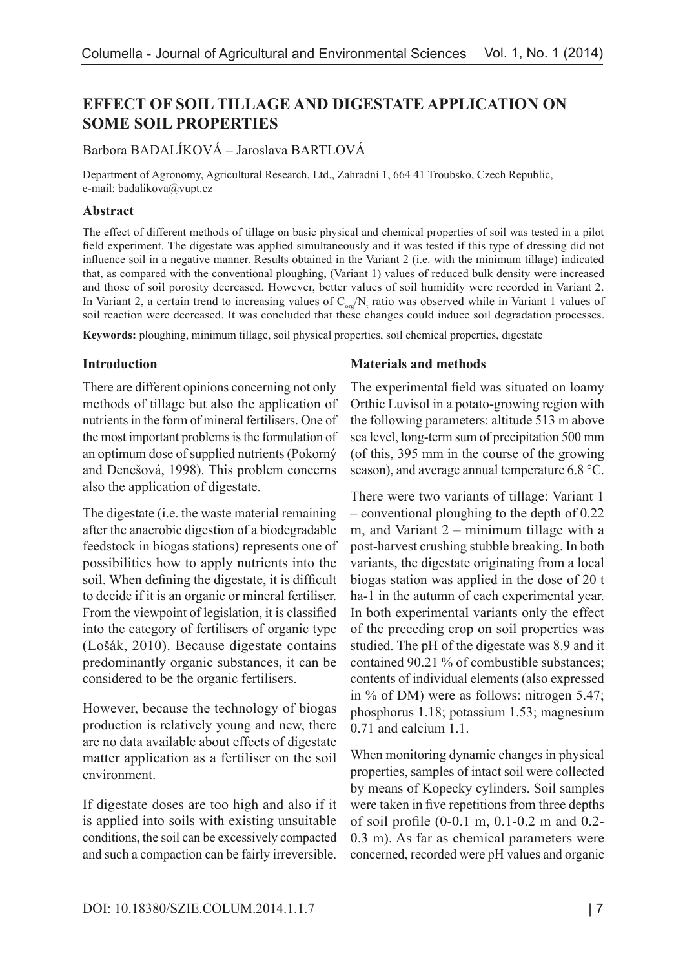# **EFFECT OF SOIL TILLAGE AND DIGESTATE APPLICATION ON SOME SOIL PROPERTIES**

## Barbora BADALÍKOVÁ – Jaroslava BARTLOVÁ

Department of Agronomy, Agricultural Research, Ltd., Zahradní 1, 664 41 Troubsko, Czech Republic, e-mail: badalikova@vupt.cz

#### **Abstract**

The effect of different methods of tillage on basic physical and chemical properties of soil was tested in a pilot field experiment. The digestate was applied simultaneously and it was tested if this type of dressing did not influence soil in a negative manner. Results obtained in the Variant 2 (i.e. with the minimum tillage) indicated that, as compared with the conventional ploughing, (Variant 1) values of reduced bulk density were increased and those of soil porosity decreased. However, better values of soil humidity were recorded in Variant 2. In Variant 2, a certain trend to increasing values of  $C_{org} / N_t$  ratio was observed while in Variant 1 values of soil reaction were decreased. It was concluded that these changes could induce soil degradation processes.

**Keywords:** ploughing, minimum tillage, soil physical properties, soil chemical properties, digestate

#### **Introduction**

There are different opinions concerning not only methods of tillage but also the application of nutrients in the form of mineral fertilisers. One of the most important problems is the formulation of an optimum dose of supplied nutrients (Pokorný and Denešová, 1998). This problem concerns also the application of digestate.

The digestate (i.e. the waste material remaining after the anaerobic digestion of a biodegradable feedstock in biogas stations) represents one of possibilities how to apply nutrients into the soil. When defining the digestate, it is difficult to decide if it is an organic or mineral fertiliser. From the viewpoint of legislation, it is classified into the category of fertilisers of organic type (Lošák, 2010). Because digestate contains predominantly organic substances, it can be considered to be the organic fertilisers.

However, because the technology of biogas production is relatively young and new, there are no data available about effects of digestate matter application as a fertiliser on the soil environment.

If digestate doses are too high and also if it is applied into soils with existing unsuitable conditions, the soil can be excessively compacted and such a compaction can be fairly irreversible.

#### **Materials and methods**

The experimental field was situated on loamy Orthic Luvisol in a potato-growing region with the following parameters: altitude 513 m above sea level, long-term sum of precipitation 500 mm (of this, 395 mm in the course of the growing season), and average annual temperature 6.8 °C.

There were two variants of tillage: Variant 1 – conventional ploughing to the depth of 0.22 m, and Variant 2 – minimum tillage with a post-harvest crushing stubble breaking. In both variants, the digestate originating from a local biogas station was applied in the dose of 20 t ha-1 in the autumn of each experimental year. In both experimental variants only the effect of the preceding crop on soil properties was studied. The pH of the digestate was 8.9 and it contained 90.21 % of combustible substances; contents of individual elements (also expressed in % of DM) were as follows: nitrogen 5.47; phosphorus 1.18; potassium 1.53; magnesium 0.71 and calcium 1.1.

When monitoring dynamic changes in physical properties, samples of intact soil were collected by means of Kopecky cylinders. Soil samples were taken in five repetitions from three depths of soil profile (0-0.1 m, 0.1-0.2 m and 0.2- 0.3 m). As far as chemical parameters were concerned, recorded were pH values and organic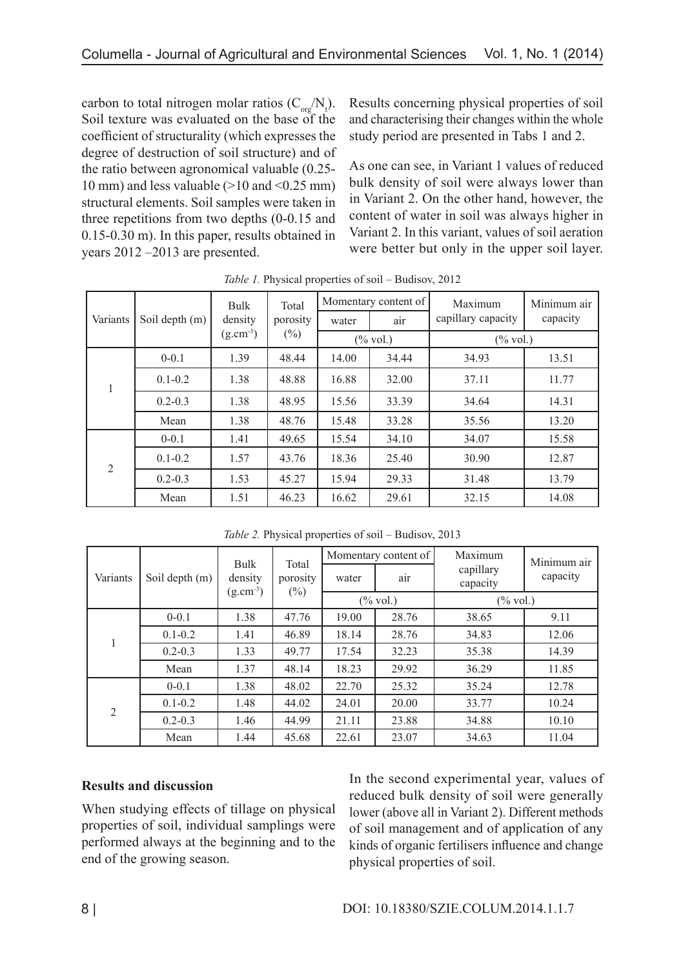carbon to total nitrogen molar ratios  $(C_{org}/N_t)$ . Soil texture was evaluated on the base of the coefficient of structurality (which expresses the degree of destruction of soil structure) and of the ratio between agronomical valuable (0.25- 10 mm) and less valuable (>10 and <0.25 mm) structural elements. Soil samples were taken in three repetitions from two depths (0-0.15 and 0.15-0.30 m). In this paper, results obtained in years 2012 –2013 are presented.

Results concerning physical properties of soil and characterising their changes within the whole study period are presented in Tabs 1 and 2.

As one can see, in Variant 1 values of reduced bulk density of soil were always lower than in Variant 2. On the other hand, however, the content of water in soil was always higher in Variant 2. In this variant, values of soil aeration were better but only in the upper soil layer.

| Variants       | Soil depth (m) | Bulk<br>density | Total<br>porosity |       | Momentary content of | Maximum              | Minimum air |
|----------------|----------------|-----------------|-------------------|-------|----------------------|----------------------|-------------|
|                |                |                 |                   | water | air                  | capillary capacity   | capacity    |
|                |                | $(g.cm-3)$      | $(\%)$            |       | $(\% \text{ vol.})$  | $(\% \,\text{vol.})$ |             |
| 1              | $0 - 0.1$      | 1.39            | 48.44             | 14.00 | 34.44                | 34.93                | 13.51       |
|                | $0.1 - 0.2$    | 1.38            | 48.88             | 16.88 | 32.00                | 37.11                | 11.77       |
|                | $0.2 - 0.3$    | 1.38            | 48.95             | 15.56 | 33.39                | 34.64                | 14.31       |
|                | Mean           | 1.38            | 48.76             | 15.48 | 33.28                | 35.56                | 13.20       |
| $\overline{2}$ | $0 - 0.1$      | 1.41            | 49.65             | 15.54 | 34.10                | 34.07                | 15.58       |
|                | $0.1 - 0.2$    | 1.57            | 43.76             | 18.36 | 25.40                | 30.90                | 12.87       |
|                | $0.2 - 0.3$    | 1.53            | 45.27             | 15.94 | 29.33                | 31.48                | 13.79       |
|                | Mean           | 1.51            | 46.23             | 16.62 | 29.61                | 32.15                | 14.08       |

*Table 1.* Physical properties of soil – Budisov, 2012

| $100002$ , $111$ , $100001$ , $10001$ , $1001$ , $100100$ , $10010$ |                |                                  |                             |                      |                     |                       |             |  |
|---------------------------------------------------------------------|----------------|----------------------------------|-----------------------------|----------------------|---------------------|-----------------------|-------------|--|
| Variants                                                            | Soil depth (m) | Bulk<br>density<br>$(g.cm^{-3})$ | Total<br>porosity<br>$(\%)$ | Momentary content of |                     | Maximum               | Minimum air |  |
|                                                                     |                |                                  |                             | water                | air                 | capillary<br>capacity | capacity    |  |
|                                                                     |                |                                  |                             |                      | $(\% \text{ vol.})$ | $(\% \text{ vol.})$   |             |  |
|                                                                     | $0 - 0.1$      | 1.38                             | 47.76                       | 19.00                | 28.76               | 38.65                 | 9.11        |  |
|                                                                     | $0.1 - 0.2$    | 1.41                             | 46.89                       | 18.14                | 28.76               | 34.83                 | 12.06       |  |
| 1                                                                   | $0.2 - 0.3$    | 1.33                             | 49.77                       | 17.54                | 32.23               | 35.38                 | 14.39       |  |
|                                                                     | Mean           | 1.37                             | 48.14                       | 18.23                | 29.92               | 36.29                 | 11.85       |  |
|                                                                     | $0 - 0.1$      | 1.38                             | 48.02                       | 22.70                | 25.32               | 35.24                 | 12.78       |  |
| 2                                                                   | $0.1 - 0.2$    | 1.48                             | 44.02                       | 24.01                | 20.00               | 33.77                 | 10.24       |  |
|                                                                     | $0.2 - 0.3$    | 1.46                             | 44.99                       | 21.11                | 23.88               | 34.88                 | 10.10       |  |
|                                                                     | Mean           | 1.44                             | 45.68                       | 22.61                | 23.07               | 34.63                 | 11.04       |  |

*Table 2.* Physical properties of soil – Budisov, 2013

## **Results and discussion**

When studying effects of tillage on physical properties of soil, individual samplings were performed always at the beginning and to the end of the growing season.

In the second experimental year, values of reduced bulk density of soil were generally lower (above all in Variant 2). Different methods of soil management and of application of any kinds of organic fertilisers influence and change physical properties of soil.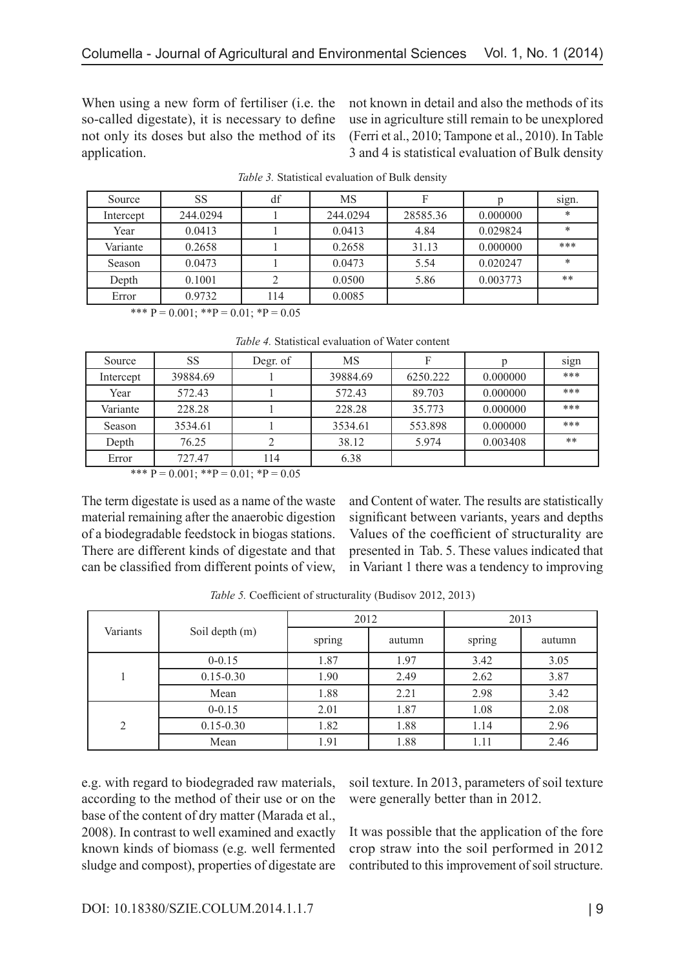When using a new form of fertiliser (i.e. the so-called digestate), it is necessary to define not only its doses but also the method of its application.

not known in detail and also the methods of its use in agriculture still remain to be unexplored (Ferri et al., 2010; Tampone et al., 2010). In Table 3 and 4 is statistical evaluation of Bulk density

| Source    | SS       | df  | MS       | F        |          | sign.  |
|-----------|----------|-----|----------|----------|----------|--------|
| Intercept | 244.0294 |     | 244.0294 | 28585.36 | 0.000000 | $\ast$ |
| Year      | 0.0413   |     | 0.0413   | 4.84     | 0.029824 | $\ast$ |
| Variante  | 0.2658   |     | 0.2658   | 31.13    | 0.000000 | ***    |
| Season    | 0.0473   |     | 0.0473   | 5.54     | 0.020247 | $\ast$ |
| Depth     | 0.1001   |     | 0.0500   | 5.86     | 0.003773 | **     |
| Error     | 0.9732   | 114 | 0.0085   |          |          |        |

*Table 3.* Statistical evaluation of Bulk density

\*\*\*  $P = 0.001$ ; \*\* $P = 0.01$ ; \* $P = 0.05$ 

|  |  | <i>Table 4.</i> Statistical evaluation of Water content |  |  |
|--|--|---------------------------------------------------------|--|--|
|--|--|---------------------------------------------------------|--|--|

| Source    | <b>SS</b> | Degr. of | MS       |          |          | sign |
|-----------|-----------|----------|----------|----------|----------|------|
| Intercept | 39884.69  |          | 39884.69 | 6250.222 | 0.000000 | ***  |
| Year      | 572.43    |          | 572.43   | 89.703   | 0.000000 | ***  |
| Variante  | 228.28    |          | 228.28   | 35.773   | 0.000000 | ***  |
| Season    | 3534.61   |          | 3534.61  | 553.898  | 0.000000 | ***  |
| Depth     | 76.25     |          | 38.12    | 5.974    | 0.003408 | **   |
| Error     | 727.47    | 114      | 6.38     |          |          |      |

\*\*\*  $P = 0.001$ ; \*\* $P = 0.01$ ; \* $P = 0.05$ 

The term digestate is used as a name of the waste material remaining after the anaerobic digestion of a biodegradable feedstock in biogas stations. There are different kinds of digestate and that can be classified from different points of view,

and Content of water. The results are statistically significant between variants, years and depths Values of the coefficient of structurality are presented in Tab. 5. These values indicated that in Variant 1 there was a tendency to improving

|                |                | 2012   |        | 2013   |        |  |
|----------------|----------------|--------|--------|--------|--------|--|
| Variants       | Soil depth (m) | spring | autumn | spring | autumn |  |
|                | $0 - 0.15$     | 1.87   | 1.97   | 3.42   | 3.05   |  |
|                | $0.15 - 0.30$  | 1.90   | 2.49   | 2.62   | 3.87   |  |
|                | Mean           | 1.88   | 2.21   | 2.98   | 3.42   |  |
| $\overline{2}$ | $0 - 0.15$     | 2.01   | 1.87   | 1.08   | 2.08   |  |
|                | $0.15 - 0.30$  | 1.82   | 1.88   | 1.14   | 2.96   |  |
|                | Mean           | 1.91   | 1.88   | 1.11   | 2.46   |  |

*Table 5.* Coefficient of structurality (Budisov 2012, 2013)

e.g. with regard to biodegraded raw materials, according to the method of their use or on the base of the content of dry matter (Marada et al., 2008). In contrast to well examined and exactly known kinds of biomass (e.g. well fermented sludge and compost), properties of digestate are soil texture. In 2013, parameters of soil texture were generally better than in 2012.

It was possible that the application of the fore crop straw into the soil performed in 2012 contributed to this improvement of soil structure.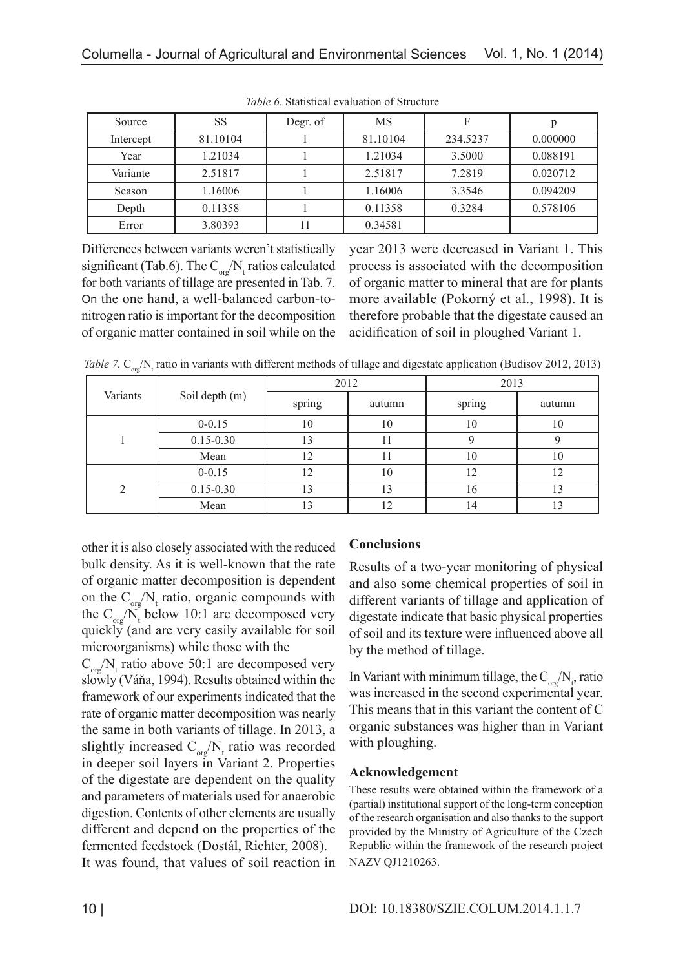| Source    | <b>SS</b> | Degr. of | MS       | F        |          |
|-----------|-----------|----------|----------|----------|----------|
| Intercept | 81.10104  |          | 81.10104 | 234.5237 | 0.000000 |
| Year      | 1.21034   |          | 1.21034  | 3.5000   | 0.088191 |
| Variante  | 2.51817   |          | 2.51817  | 7.2819   | 0.020712 |
| Season    | 1.16006   |          | 1.16006  | 3.3546   | 0.094209 |
| Depth     | 0.11358   |          | 0.11358  | 0.3284   | 0.578106 |
| Error     | 3.80393   | 1        | 0.34581  |          |          |

*Table 6.* Statistical evaluation of Structure

Differences between variants weren't statistically significant (Tab.6). The  $C_{org} / N_t$  ratios calculated for both variants of tillage are presented in Tab. 7. On the one hand, a well-balanced carbon-tonitrogen ratio is important for the decomposition of organic matter contained in soil while on the

year 2013 were decreased in Variant 1. This process is associated with the decomposition of organic matter to mineral that are for plants more available (Pokorný et al., 1998). It is therefore probable that the digestate caused an acidification of soil in ploughed Variant 1.

Table 7.  $C_{\text{org}}/N_{\text{t}}$  ratio in variants with different methods of tillage and digestate application (Budisov 2012, 2013)

|          | Soil depth (m) | 2012   |        | 2013   |        |  |
|----------|----------------|--------|--------|--------|--------|--|
| Variants |                | spring | autumn | spring | autumn |  |
|          | $0 - 0.15$     | 10     | 10     | 10     | 10     |  |
|          | $0.15 - 0.30$  | 13     |        |        |        |  |
|          | Mean           | 12     | 11     | 10     | 10     |  |
| ◠        | $0 - 0.15$     | 12     | 10     | 12     |        |  |
|          | $0.15 - 0.30$  | 13     | 13     | 16     |        |  |
|          | Mean           | 13     | 12     | 14     |        |  |

other it is also closely associated with the reduced bulk density. As it is well-known that the rate of organic matter decomposition is dependent on the  $C_{org} / N_t$  ratio, organic compounds with the  $C_{\text{org}}/N_{t}$  below 10:1 are decomposed very quickly (and are very easily available for soil microorganisms) while those with the

 $C_{org} / N_t$  ratio above 50:1 are decomposed very slowly (Váňa, 1994). Results obtained within the framework of our experiments indicated that the rate of organic matter decomposition was nearly the same in both variants of tillage. In 2013, a slightly increased  $C_{org} / N_t$  ratio was recorded in deeper soil layers in Variant 2. Properties of the digestate are dependent on the quality and parameters of materials used for anaerobic digestion. Contents of other elements are usually different and depend on the properties of the fermented feedstock (Dostál, Richter, 2008). It was found, that values of soil reaction in

## **Conclusions**

Results of a two-year monitoring of physical and also some chemical properties of soil in different variants of tillage and application of digestate indicate that basic physical properties of soil and its texture were influenced above all by the method of tillage.

In Variant with minimum tillage, the  $C_{\text{org}}/N_{t}$ , ratio was increased in the second experimental year. This means that in this variant the content of C organic substances was higher than in Variant with ploughing.

## **Acknowledgement**

These results were obtained within the framework of a (partial) institutional support of the long-term conception of the research organisation and also thanks to the support provided by the Ministry of Agriculture of the Czech Republic within the framework of the research project NAZV QJ1210263.